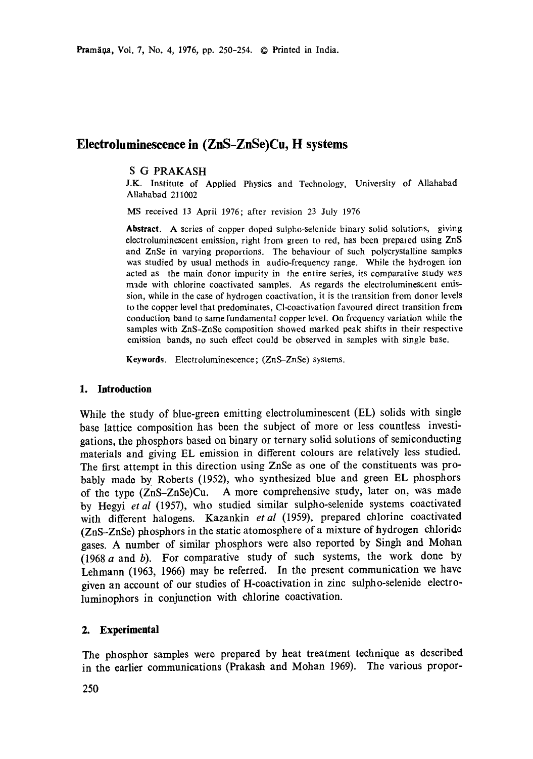# **Eleetroluminescence in (ZnS-ZnSe)Cu, H systems**

## S G PRAKASH

J.K. Institute of Applied Physics and Technology, University of Allahabad AUahabad 211002

MS received 13 April 1976; after revision 23 July 1976

**Abstract.** A series of copper doped sulpho-selenide binary solid solutions, giving electroluminescent emission, right from green to red, has been prepared using ZnS and ZnSe in varying proportions. The behaviour of such polycrystalline samples was studied by usual methods in audio-frequency range. While the hydrogen ion acted as the main donor impurity in the entire series, its comparative study we.s made with chlorine coactivated samples. As regards the eleetroluminescent emission, while in the case of hydrogen coactivation, it is the transition from donor levels to the copper level that predominates, Cl-coactivation favoured direct transition from conduction band to same fundamental copper level. On frequency variation while the samples with ZnS-ZnSe composition showed marked peak shifts in their respective emission bands, no such effect could be observed in samples with single base.

**Keywards.** Electroluminescence; (ZnS-ZnSe) systems.

### **1. Introduction**

While the study of blue-green emitting electroluminescent (EL) solids with single base lattice composition has been the subject of more or less countless investigations, the phosphors based on binary or ternary solid solutions of semiconducting materials and giving EL emission in different colours are relatively less studied. The first attempt in this direction using ZnSe as one of the constituents was probably made by Roberts (1952), who synthesized blue and green EL phosphors of the type (ZnS-ZnSe)Cu. A more comprehensive study, later on, was made by Hegyi *et al* (1957), who studied similar sulpho-selenide systems coactivated with different halogens. Kazankin *etal* (1959), prepared chlorine coactivated (ZnS-ZnSe) phosphors in the static atomosphere of a mixture of hydrogen chloride gases. A number of similar phosphors were also reported by Singh and Mohan (1968 a and b). For comparative study of such systems, the work done by Lehmann (1963, 1966) may be referred. In the present communication we have given an account of our studies of H-coactivation in zinc sulpho-selenide electroluminophors in conjunction with chlorine coactivation.

## **2. Experimental**

The phosphor samples were prepared by heat treatment technique as described in the earlier communications (Prakash and Mohan 1969). The various propor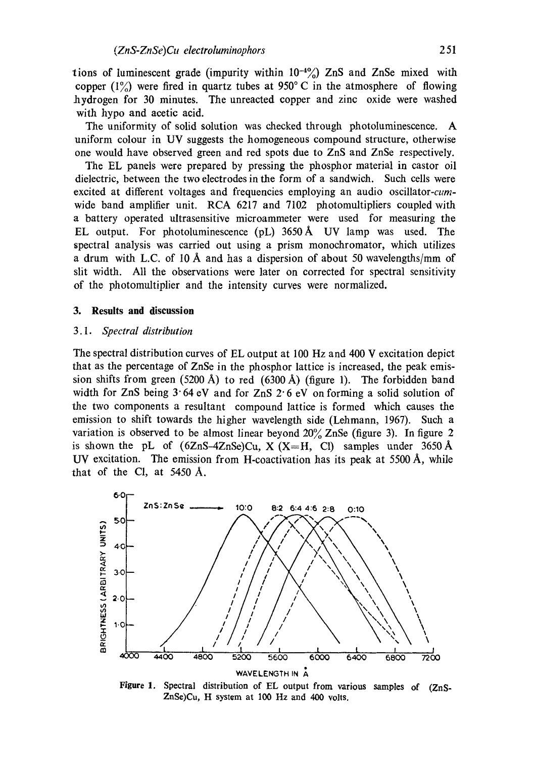tions of luminescent grade (impurity within  $10^{-4}$ %) ZnS and ZnSe mixed with copper  $(1\%)$  were fired in quartz tubes at 950°C in the atmosphere of flowing hydrogen for 30 minutes. The unreacted copper and zinc oxide were washed with hypo and acetic acid.

The uniformity of solid solution was checked through photoluminescence. A uniform colour in UV suggests the homogeneous compound structure, otherwise one would have observed green and red spots due to ZnS and ZnSe respectively.

The EL panels were prepared by pressing the phosphor material in castor oil dielectric, between the two electrodes in the form of a sandwich. Such cells were excited at different voltages and frequencies employing an audio *oscillator-cum*wide band amplifier unit. RCA 6217 and 7102 photomultipliers coupled with a battery operated ultrasensitive microammeter were used for measuring the EL output. For photoluminescence (pL) 3650A UV lamp was used. The spectral analysis was carried out using a prism monochromator, which utilizes a drum with L.C. of 10 Å and has a dispersion of about 50 wavelengths/mm of slit width. All the observations were later on corrected for spectral sensitivity of the photomultiplier and the intensity curves were normalized.

### **3. Results and discussion**

#### *3.1. Spectral distribution*

The spectral distribution curves of EL output at 100 Hz and 400 V excitation depict that as the percentage of ZnSe in the phosphor lattice is increased, the peak emission shifts from green (5200 A) to red (6300 A) (figure 1). The forbidden band width for ZnS being  $3.64$  eV and for ZnS  $2.6$  eV on forming a solid solution of the two components a resultant compound lattice is formed which causes the emission to shift towards the higher wavelength side (Lehmann, 1967). Such a variation is observed to be almost linear beyond 20% ZnSe (figure 3). In figure 2 is shown the pL of  $(6ZnS-4ZnSe)Cu$ ,  $X (X=H, Cl)$  samples under 3650 Å UV excitation. The emission from H-coactivation has its peak at 5500 A, while that of the CI, at 5450 A.



Figure 1. Spectral distribution of EL output from various samples of (ZnS-ZnSe)Cu, H system at 100 Hz and 400 volts.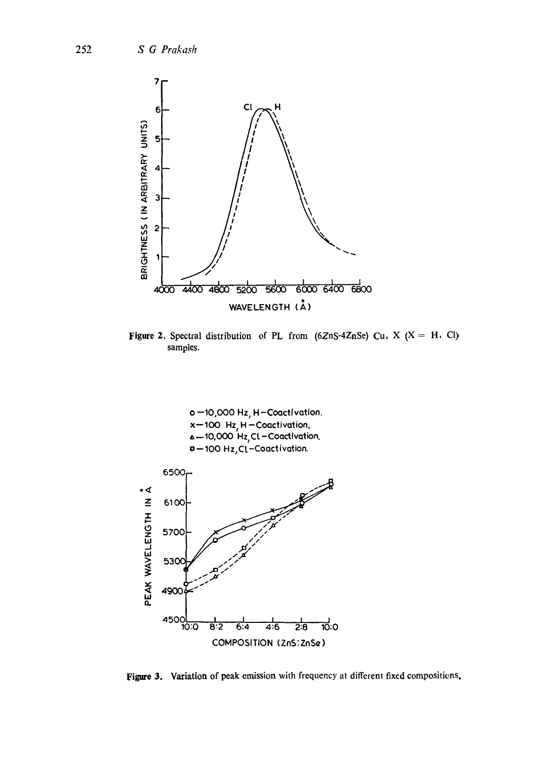

Figure 2. Spectral distribution of PL from (6ZnS-4ZnSe) Cu, X (X = H, Cl) samples.



Figure 3. Variation of peak emission with frequency at different fixed compositions.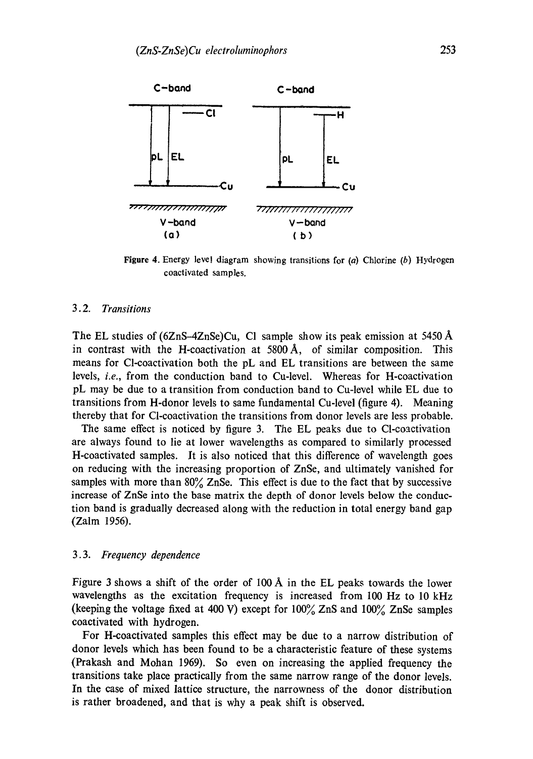

**Figure** 4. Energy level diagram showing transitions for (a) Chlorine (b) Hydrogen coactivated samples.

#### *3.2. Transitions*

The EL studies of  $(6ZnS-4ZnSe)Cu$ , Cl sample show its peak emission at 5450 Å in contrast with the H-coactivation at  $5800 \text{ Å}$ , of similar composition. This means for Cl-coactivation both the pL and EL transitions are between the same levels, *i.e.,* from the conduction band to Cu-level. Whereas for H-coactivation pL may be due to a transition from conduction band to Cu-level while EL due to transitions from H-donor levels to same fundamental Cu-level (figure 4). Meaning thereby that for Cl-coactivation the transitions from donor levels are less probable.

The same effect is noticed by figure 3. The EL peaks due to Cl-coactivation are always found to lie at lower wavelengths as compared to similarly processed H-coactivated samples. It is also noticed that this difference of wavelength goes on reducing with the increasing proportion of ZnSe, and ultimately vanished for samples with more than  $80\%$  ZnSe. This effect is due to the fact that by successive increase of ZnSe into the base matrix the depth of donor levels below the conduction band is gradually decreased along with the reduction in total energy band gap (Zalm 1956).

#### *3.3. Frequency dependence*

Figure 3 shows a shift of the order of I00 A in the EL peaks towards the lower wavelengths as the excitation frequency is increased from 100 Hz to 10 kHz (keeping the voltage fixed at 400 V) except for  $100\%$  ZnS and  $100\%$  ZnSe samples coaetivated with hydrogen.

For H-coactivated samples this effect may be due to a narrow distribution of donor levels which has been found to be a characteristic feature of these systems (Prakash and Mohan 1969). So even on increasing the applied frequency the transitions take place practically from the same narrow range of the donor levels. In the case of mixed lattice structure, the narrowness of the donor distribution is rather broadened, and that is why a peak shift is observed.